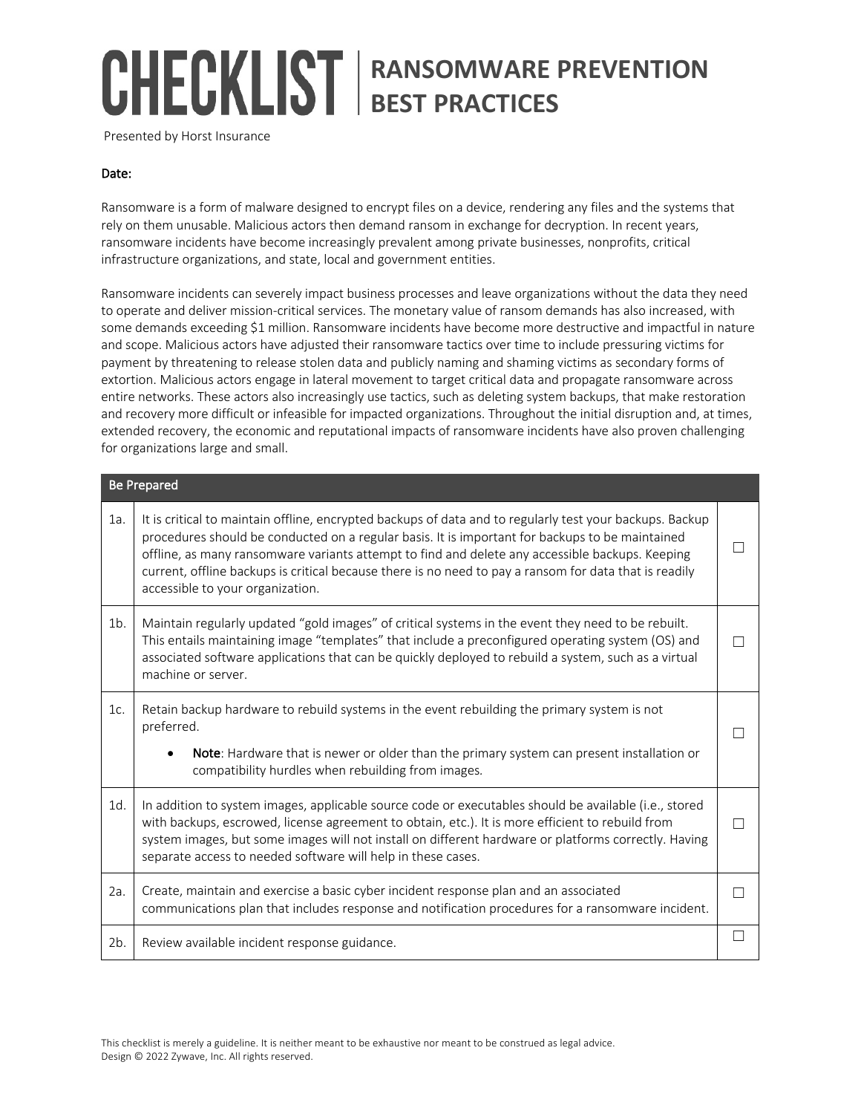# **RANSOMWARE PREVENTION BEST PRACTICES**

Presented by Horst Insurance

#### Date:

Ransomware is a form of malware designed to encrypt files on a device, rendering any files and the systems that rely on them unusable. Malicious actors then demand ransom in exchange for decryption. In recent years, ransomware incidents have become increasingly prevalent among private businesses, nonprofits, critical infrastructure organizations, and state, local and government entities.

Ransomware incidents can severely impact business processes and leave organizations without the data they need to operate and deliver mission-critical services. The monetary value of ransom demands has also increased, with some demands exceeding \$1 million. Ransomware incidents have become more destructive and impactful in nature and scope. Malicious actors have adjusted their ransomware tactics over time to include pressuring victims for payment by threatening to release stolen data and publicly naming and shaming victims as secondary forms of extortion. Malicious actors engage in lateral movement to target critical data and propagate ransomware across entire networks. These actors also increasingly use tactics, such as deleting system backups, that make restoration and recovery more difficult or infeasible for impacted organizations. Throughout the initial disruption and, at times, extended recovery, the economic and reputational impacts of ransomware incidents have also proven challenging for organizations large and small.

| <b>Be Prepared</b> |                                                                                                                                                                                                                                                                                                                                                                                                                                                              |  |
|--------------------|--------------------------------------------------------------------------------------------------------------------------------------------------------------------------------------------------------------------------------------------------------------------------------------------------------------------------------------------------------------------------------------------------------------------------------------------------------------|--|
| 1a.                | It is critical to maintain offline, encrypted backups of data and to regularly test your backups. Backup<br>procedures should be conducted on a regular basis. It is important for backups to be maintained<br>offline, as many ransomware variants attempt to find and delete any accessible backups. Keeping<br>current, offline backups is critical because there is no need to pay a ransom for data that is readily<br>accessible to your organization. |  |
| $1b$ .             | Maintain regularly updated "gold images" of critical systems in the event they need to be rebuilt.<br>This entails maintaining image "templates" that include a preconfigured operating system (OS) and<br>associated software applications that can be quickly deployed to rebuild a system, such as a virtual<br>machine or server.                                                                                                                        |  |
| 1c.                | Retain backup hardware to rebuild systems in the event rebuilding the primary system is not<br>preferred.<br>Note: Hardware that is newer or older than the primary system can present installation or<br>compatibility hurdles when rebuilding from images.                                                                                                                                                                                                 |  |
| 1d.                | In addition to system images, applicable source code or executables should be available (i.e., stored<br>with backups, escrowed, license agreement to obtain, etc.). It is more efficient to rebuild from<br>system images, but some images will not install on different hardware or platforms correctly. Having<br>separate access to needed software will help in these cases.                                                                            |  |
| 2a.                | Create, maintain and exercise a basic cyber incident response plan and an associated<br>communications plan that includes response and notification procedures for a ransomware incident.                                                                                                                                                                                                                                                                    |  |
| 2b.                | Review available incident response guidance.                                                                                                                                                                                                                                                                                                                                                                                                                 |  |

This checklist is merely a guideline. It is neither meant to be exhaustive nor meant to be construed as legal advice. Design © 2022 Zywave, Inc. All rights reserved.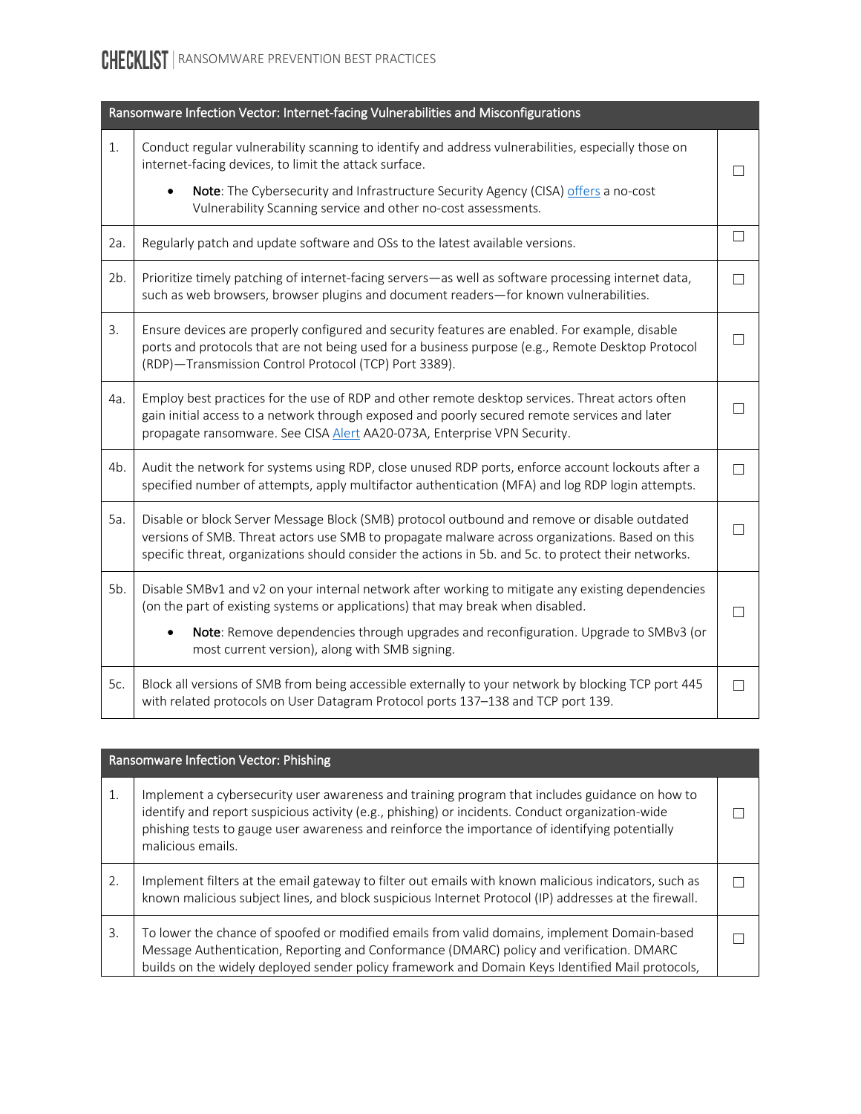### CHECKLIST | RANSOMWARE PREVENTION BEST PRACTICES

| Ransomware Infection Vector: Internet-facing Vulnerabilities and Misconfigurations |                                                                                                                                                                                                                                                                                                                                             |        |
|------------------------------------------------------------------------------------|---------------------------------------------------------------------------------------------------------------------------------------------------------------------------------------------------------------------------------------------------------------------------------------------------------------------------------------------|--------|
| 1.                                                                                 | Conduct regular vulnerability scanning to identify and address vulnerabilities, especially those on<br>internet-facing devices, to limit the attack surface.                                                                                                                                                                                |        |
|                                                                                    | Note: The Cybersecurity and Infrastructure Security Agency (CISA) offers a no-cost<br>$\bullet$<br>Vulnerability Scanning service and other no-cost assessments.                                                                                                                                                                            |        |
| 2a.                                                                                | Regularly patch and update software and OSs to the latest available versions.                                                                                                                                                                                                                                                               | $\Box$ |
| 2b.                                                                                | Prioritize timely patching of internet-facing servers-as well as software processing internet data,<br>such as web browsers, browser plugins and document readers-for known vulnerabilities.                                                                                                                                                | П      |
| 3.                                                                                 | Ensure devices are properly configured and security features are enabled. For example, disable<br>ports and protocols that are not being used for a business purpose (e.g., Remote Desktop Protocol<br>(RDP)-Transmission Control Protocol (TCP) Port 3389).                                                                                |        |
| 4a.                                                                                | Employ best practices for the use of RDP and other remote desktop services. Threat actors often<br>gain initial access to a network through exposed and poorly secured remote services and later<br>propagate ransomware. See CISA Alert AA20-073A, Enterprise VPN Security.                                                                |        |
| 4b.                                                                                | Audit the network for systems using RDP, close unused RDP ports, enforce account lockouts after a<br>specified number of attempts, apply multifactor authentication (MFA) and log RDP login attempts.                                                                                                                                       |        |
| 5a.                                                                                | Disable or block Server Message Block (SMB) protocol outbound and remove or disable outdated<br>versions of SMB. Threat actors use SMB to propagate malware across organizations. Based on this<br>specific threat, organizations should consider the actions in 5b. and 5c. to protect their networks.                                     |        |
| 5b.                                                                                | Disable SMBv1 and v2 on your internal network after working to mitigate any existing dependencies<br>(on the part of existing systems or applications) that may break when disabled.<br>Note: Remove dependencies through upgrades and reconfiguration. Upgrade to SMBv3 (or<br>$\bullet$<br>most current version), along with SMB signing. |        |
| 5c.                                                                                | Block all versions of SMB from being accessible externally to your network by blocking TCP port 445<br>with related protocols on User Datagram Protocol ports 137-138 and TCP port 139.                                                                                                                                                     | П      |

| Ransomware Infection Vector: Phishing |                                                                                                                                                                                                                                                                                                                           |  |
|---------------------------------------|---------------------------------------------------------------------------------------------------------------------------------------------------------------------------------------------------------------------------------------------------------------------------------------------------------------------------|--|
| 1.                                    | Implement a cybersecurity user awareness and training program that includes guidance on how to<br>identify and report suspicious activity (e.g., phishing) or incidents. Conduct organization-wide<br>phishing tests to gauge user awareness and reinforce the importance of identifying potentially<br>malicious emails. |  |
| 2.                                    | Implement filters at the email gateway to filter out emails with known malicious indicators, such as<br>known malicious subject lines, and block suspicious Internet Protocol (IP) addresses at the firewall.                                                                                                             |  |
| 3.                                    | To lower the chance of spoofed or modified emails from valid domains, implement Domain-based<br>Message Authentication, Reporting and Conformance (DMARC) policy and verification. DMARC<br>builds on the widely deployed sender policy framework and Domain Keys Identified Mail protocols,                              |  |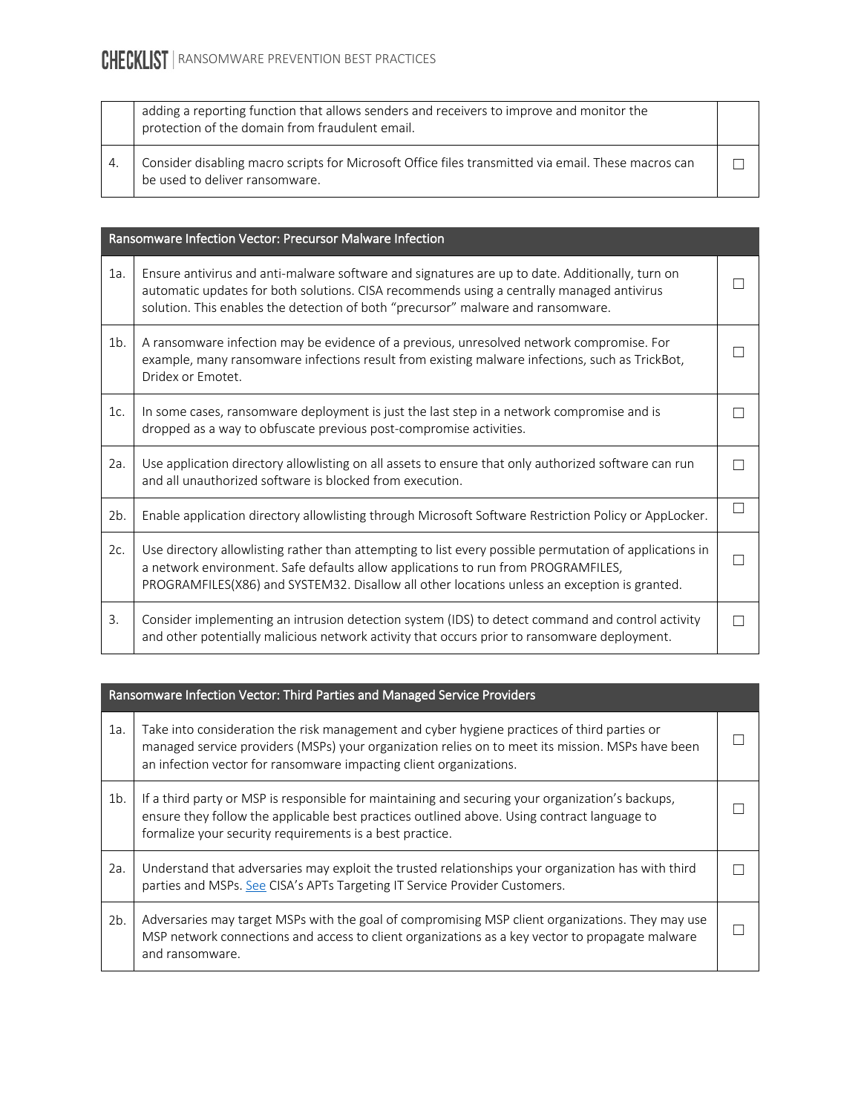### **CHECKLIST** RANSOMWARE PREVENTION BEST PRACTICES

|    | adding a reporting function that allows senders and receivers to improve and monitor the<br>protection of the domain from fraudulent email. |  |
|----|---------------------------------------------------------------------------------------------------------------------------------------------|--|
| 4. | Consider disabling macro scripts for Microsoft Office files transmitted via email. These macros can<br>be used to deliver ransomware.       |  |

| Ransomware Infection Vector: Precursor Malware Infection |                                                                                                                                                                                                                                                                                              |  |
|----------------------------------------------------------|----------------------------------------------------------------------------------------------------------------------------------------------------------------------------------------------------------------------------------------------------------------------------------------------|--|
| 1a.                                                      | Ensure antivirus and anti-malware software and signatures are up to date. Additionally, turn on<br>automatic updates for both solutions. CISA recommends using a centrally managed antivirus<br>solution. This enables the detection of both "precursor" malware and ransomware.             |  |
| $1b$ .                                                   | A ransomware infection may be evidence of a previous, unresolved network compromise. For<br>example, many ransomware infections result from existing malware infections, such as TrickBot,<br>Dridex or Emotet.                                                                              |  |
| 1c.                                                      | In some cases, ransomware deployment is just the last step in a network compromise and is<br>dropped as a way to obfuscate previous post-compromise activities.                                                                                                                              |  |
| 2a.                                                      | Use application directory allowlisting on all assets to ensure that only authorized software can run<br>and all unauthorized software is blocked from execution.                                                                                                                             |  |
| 2b.                                                      | Enable application directory allowlisting through Microsoft Software Restriction Policy or AppLocker.                                                                                                                                                                                        |  |
| 2c.                                                      | Use directory allowlisting rather than attempting to list every possible permutation of applications in<br>a network environment. Safe defaults allow applications to run from PROGRAMFILES,<br>PROGRAMFILES(X86) and SYSTEM32. Disallow all other locations unless an exception is granted. |  |
| 3.                                                       | Consider implementing an intrusion detection system (IDS) to detect command and control activity<br>and other potentially malicious network activity that occurs prior to ransomware deployment.                                                                                             |  |

| Ransomware Infection Vector: Third Parties and Managed Service Providers |                                                                                                                                                                                                                                                                       |  |
|--------------------------------------------------------------------------|-----------------------------------------------------------------------------------------------------------------------------------------------------------------------------------------------------------------------------------------------------------------------|--|
| 1a.                                                                      | Take into consideration the risk management and cyber hygiene practices of third parties or<br>managed service providers (MSPs) your organization relies on to meet its mission. MSPs have been<br>an infection vector for ransomware impacting client organizations. |  |
| $1b$ .                                                                   | If a third party or MSP is responsible for maintaining and securing your organization's backups,<br>ensure they follow the applicable best practices outlined above. Using contract language to<br>formalize your security requirements is a best practice.           |  |
| 2a.                                                                      | Understand that adversaries may exploit the trusted relationships your organization has with third<br>parties and MSPs. See CISA's APTs Targeting IT Service Provider Customers.                                                                                      |  |
| 2b.                                                                      | Adversaries may target MSPs with the goal of compromising MSP client organizations. They may use<br>MSP network connections and access to client organizations as a key vector to propagate malware<br>and ransomware.                                                |  |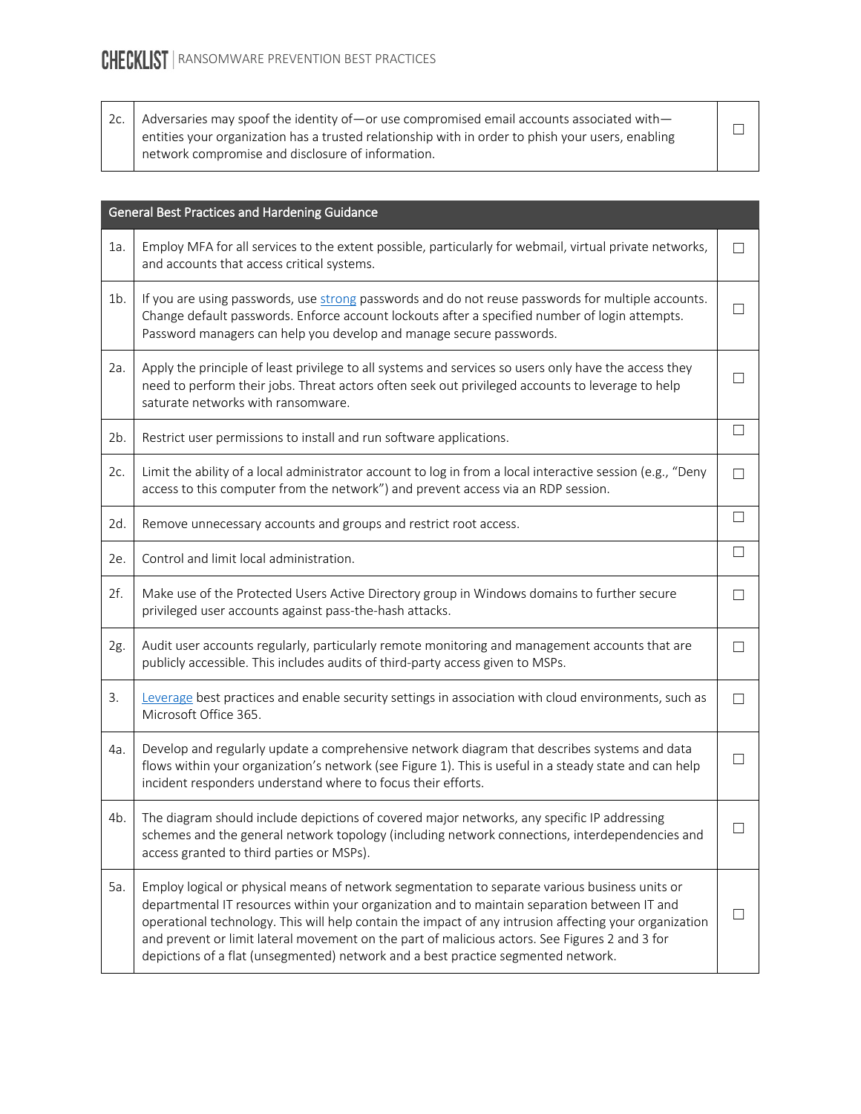2c.  $\vert$  Adversaries may spoof the identity of—or use compromised email accounts associated with entities your organization has a trusted relationship with in order to phish your users, enabling network compromise and disclosure of information.  $\Box$ 

| General Best Practices and Hardening Guidance |                                                                                                                                                                                                                                                                                                                                                                                                                                                                                                 |                          |
|-----------------------------------------------|-------------------------------------------------------------------------------------------------------------------------------------------------------------------------------------------------------------------------------------------------------------------------------------------------------------------------------------------------------------------------------------------------------------------------------------------------------------------------------------------------|--------------------------|
| 1a.                                           | Employ MFA for all services to the extent possible, particularly for webmail, virtual private networks,<br>and accounts that access critical systems.                                                                                                                                                                                                                                                                                                                                           | П                        |
| $1b$ .                                        | If you are using passwords, use strong passwords and do not reuse passwords for multiple accounts.<br>Change default passwords. Enforce account lockouts after a specified number of login attempts.<br>Password managers can help you develop and manage secure passwords.                                                                                                                                                                                                                     |                          |
| 2a.                                           | Apply the principle of least privilege to all systems and services so users only have the access they<br>need to perform their jobs. Threat actors often seek out privileged accounts to leverage to help<br>saturate networks with ransomware.                                                                                                                                                                                                                                                 |                          |
| 2b.                                           | Restrict user permissions to install and run software applications.                                                                                                                                                                                                                                                                                                                                                                                                                             | $\Box$                   |
| 2c.                                           | Limit the ability of a local administrator account to log in from a local interactive session (e.g., "Deny<br>access to this computer from the network") and prevent access via an RDP session.                                                                                                                                                                                                                                                                                                 | П                        |
| 2d.                                           | Remove unnecessary accounts and groups and restrict root access.                                                                                                                                                                                                                                                                                                                                                                                                                                | $\Box$                   |
| 2e.                                           | Control and limit local administration.                                                                                                                                                                                                                                                                                                                                                                                                                                                         | $\Box$                   |
| 2f.                                           | Make use of the Protected Users Active Directory group in Windows domains to further secure<br>privileged user accounts against pass-the-hash attacks.                                                                                                                                                                                                                                                                                                                                          | $\vert \ \ \vert$        |
| 2g.                                           | Audit user accounts regularly, particularly remote monitoring and management accounts that are<br>publicly accessible. This includes audits of third-party access given to MSPs.                                                                                                                                                                                                                                                                                                                | $\Box$                   |
| 3.                                            | Leverage best practices and enable security settings in association with cloud environments, such as<br>Microsoft Office 365.                                                                                                                                                                                                                                                                                                                                                                   | П                        |
| 4a.                                           | Develop and regularly update a comprehensive network diagram that describes systems and data<br>flows within your organization's network (see Figure 1). This is useful in a steady state and can help<br>incident responders understand where to focus their efforts.                                                                                                                                                                                                                          | $\overline{\phantom{a}}$ |
| 4b.                                           | The diagram should include depictions of covered major networks, any specific IP addressing<br>schemes and the general network topology (including network connections, interdependencies and<br>access granted to third parties or MSPs).                                                                                                                                                                                                                                                      | □                        |
| 5a.                                           | Employ logical or physical means of network segmentation to separate various business units or<br>departmental IT resources within your organization and to maintain separation between IT and<br>operational technology. This will help contain the impact of any intrusion affecting your organization<br>and prevent or limit lateral movement on the part of malicious actors. See Figures 2 and 3 for<br>depictions of a flat (unsegmented) network and a best practice segmented network. |                          |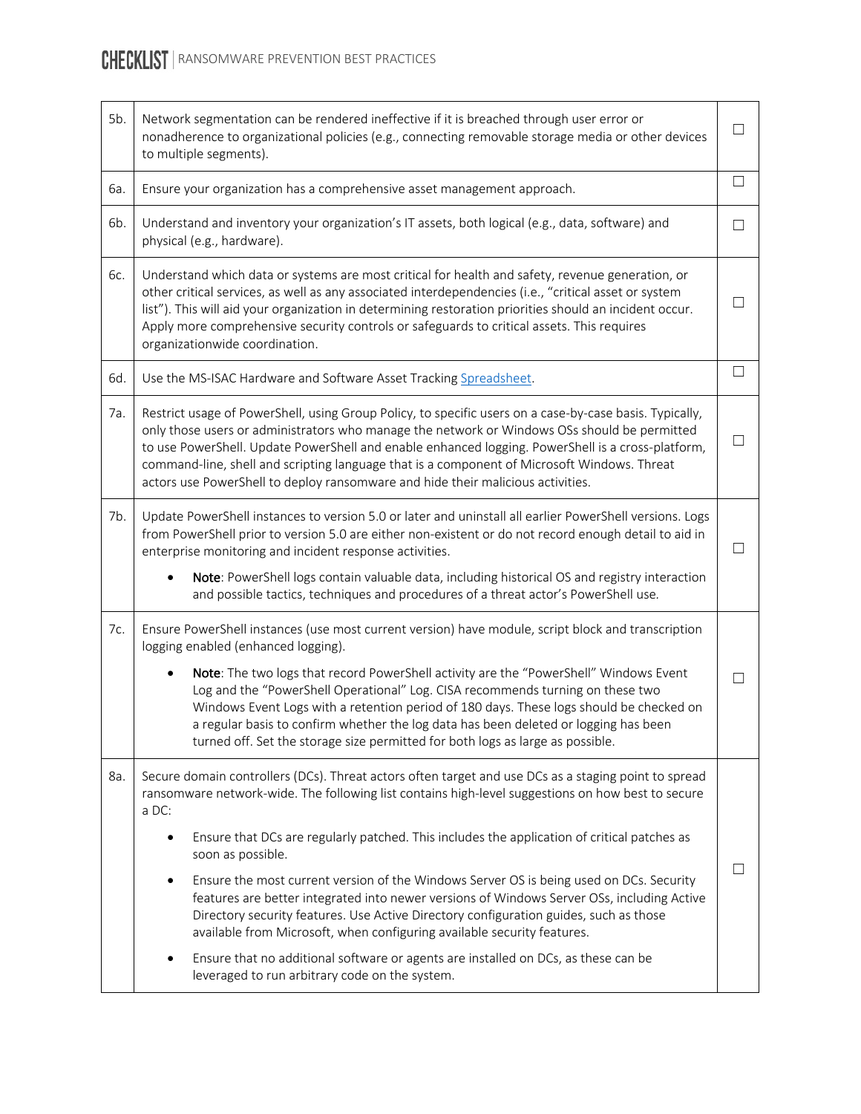### CHECKLIST | RANSOMWARE PREVENTION BEST PRACTICES

| 5b. | Network segmentation can be rendered ineffective if it is breached through user error or<br>nonadherence to organizational policies (e.g., connecting removable storage media or other devices<br>to multiple segments).                                                                                                                                                                                                                                                                       | $\blacksquare$ |
|-----|------------------------------------------------------------------------------------------------------------------------------------------------------------------------------------------------------------------------------------------------------------------------------------------------------------------------------------------------------------------------------------------------------------------------------------------------------------------------------------------------|----------------|
| 6a. | Ensure your organization has a comprehensive asset management approach.                                                                                                                                                                                                                                                                                                                                                                                                                        | $\Box$         |
| 6b. | Understand and inventory your organization's IT assets, both logical (e.g., data, software) and<br>physical (e.g., hardware).                                                                                                                                                                                                                                                                                                                                                                  | П              |
| 6с. | Understand which data or systems are most critical for health and safety, revenue generation, or<br>other critical services, as well as any associated interdependencies (i.e., "critical asset or system<br>list"). This will aid your organization in determining restoration priorities should an incident occur.<br>Apply more comprehensive security controls or safeguards to critical assets. This requires<br>organizationwide coordination.                                           |                |
| 6d. | Use the MS-ISAC Hardware and Software Asset Tracking Spreadsheet.                                                                                                                                                                                                                                                                                                                                                                                                                              | П              |
| 7a. | Restrict usage of PowerShell, using Group Policy, to specific users on a case-by-case basis. Typically,<br>only those users or administrators who manage the network or Windows OSs should be permitted<br>to use PowerShell. Update PowerShell and enable enhanced logging. PowerShell is a cross-platform,<br>command-line, shell and scripting language that is a component of Microsoft Windows. Threat<br>actors use PowerShell to deploy ransomware and hide their malicious activities. |                |
| 7b. | Update PowerShell instances to version 5.0 or later and uninstall all earlier PowerShell versions. Logs<br>from PowerShell prior to version 5.0 are either non-existent or do not record enough detail to aid in<br>enterprise monitoring and incident response activities.<br>Note: PowerShell logs contain valuable data, including historical OS and registry interaction<br>and possible tactics, techniques and procedures of a threat actor's PowerShell use.                            | П              |
| 7c. | Ensure PowerShell instances (use most current version) have module, script block and transcription<br>logging enabled (enhanced logging).<br>Note: The two logs that record PowerShell activity are the "PowerShell" Windows Event<br>Log and the "PowerShell Operational" Log. CISA recommends turning on these two                                                                                                                                                                           | П              |
|     | Windows Event Logs with a retention period of 180 days. These logs should be checked on<br>a regular basis to confirm whether the log data has been deleted or logging has been<br>turned off. Set the storage size permitted for both logs as large as possible.                                                                                                                                                                                                                              |                |
| 8a. | Secure domain controllers (DCs). Threat actors often target and use DCs as a staging point to spread<br>ransomware network-wide. The following list contains high-level suggestions on how best to secure<br>a DC:                                                                                                                                                                                                                                                                             |                |
|     | Ensure that DCs are regularly patched. This includes the application of critical patches as<br>soon as possible.                                                                                                                                                                                                                                                                                                                                                                               |                |
|     | Ensure the most current version of the Windows Server OS is being used on DCs. Security<br>٠<br>features are better integrated into newer versions of Windows Server OSs, including Active<br>Directory security features. Use Active Directory configuration guides, such as those<br>available from Microsoft, when configuring available security features.                                                                                                                                 |                |
|     | Ensure that no additional software or agents are installed on DCs, as these can be<br>leveraged to run arbitrary code on the system.                                                                                                                                                                                                                                                                                                                                                           |                |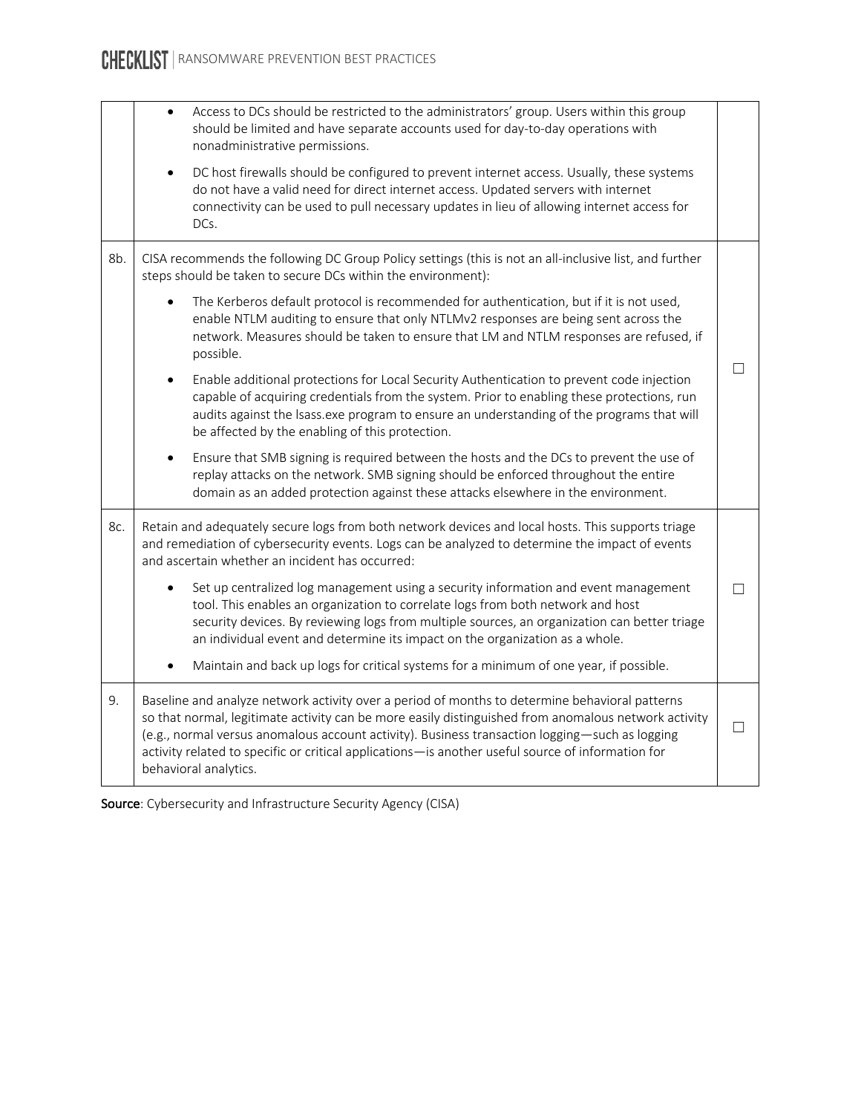|     | Access to DCs should be restricted to the administrators' group. Users within this group<br>$\bullet$<br>should be limited and have separate accounts used for day-to-day operations with<br>nonadministrative permissions.                                                                                                                                                                                                             |  |
|-----|-----------------------------------------------------------------------------------------------------------------------------------------------------------------------------------------------------------------------------------------------------------------------------------------------------------------------------------------------------------------------------------------------------------------------------------------|--|
|     | DC host firewalls should be configured to prevent internet access. Usually, these systems<br>$\bullet$<br>do not have a valid need for direct internet access. Updated servers with internet<br>connectivity can be used to pull necessary updates in lieu of allowing internet access for<br>DCs.                                                                                                                                      |  |
| 8b. | CISA recommends the following DC Group Policy settings (this is not an all-inclusive list, and further<br>steps should be taken to secure DCs within the environment):                                                                                                                                                                                                                                                                  |  |
|     | The Kerberos default protocol is recommended for authentication, but if it is not used,<br>enable NTLM auditing to ensure that only NTLMv2 responses are being sent across the<br>network. Measures should be taken to ensure that LM and NTLM responses are refused, if<br>possible.                                                                                                                                                   |  |
|     | Enable additional protections for Local Security Authentication to prevent code injection<br>$\bullet$<br>capable of acquiring credentials from the system. Prior to enabling these protections, run<br>audits against the Isass.exe program to ensure an understanding of the programs that will<br>be affected by the enabling of this protection.                                                                                    |  |
|     | Ensure that SMB signing is required between the hosts and the DCs to prevent the use of<br>$\bullet$<br>replay attacks on the network. SMB signing should be enforced throughout the entire<br>domain as an added protection against these attacks elsewhere in the environment.                                                                                                                                                        |  |
| 8с. | Retain and adequately secure logs from both network devices and local hosts. This supports triage<br>and remediation of cybersecurity events. Logs can be analyzed to determine the impact of events<br>and ascertain whether an incident has occurred:                                                                                                                                                                                 |  |
|     | Set up centralized log management using a security information and event management<br>tool. This enables an organization to correlate logs from both network and host<br>security devices. By reviewing logs from multiple sources, an organization can better triage<br>an individual event and determine its impact on the organization as a whole.                                                                                  |  |
|     | Maintain and back up logs for critical systems for a minimum of one year, if possible.<br>$\bullet$                                                                                                                                                                                                                                                                                                                                     |  |
| 9.  | Baseline and analyze network activity over a period of months to determine behavioral patterns<br>so that normal, legitimate activity can be more easily distinguished from anomalous network activity<br>(e.g., normal versus anomalous account activity). Business transaction logging—such as logging<br>activity related to specific or critical applications- is another useful source of information for<br>behavioral analytics. |  |